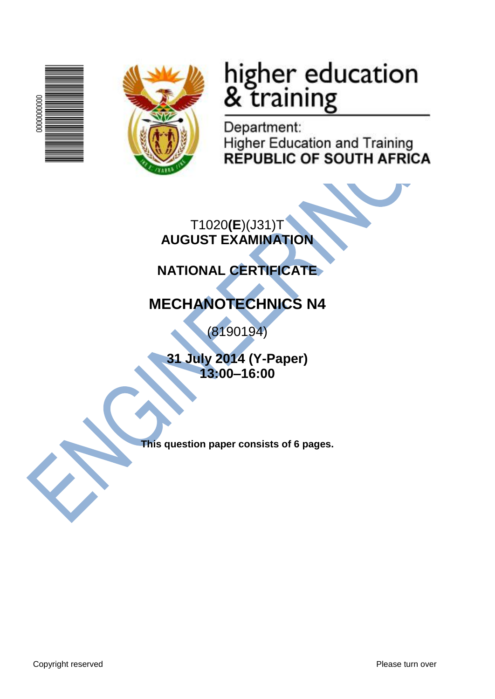



# higher education<br>& training

Department: **Higher Education and Training REPUBLIC OF SOUTH AFRICA** 

T1020**(E**)(J31)T **AUGUST EXAMINATION**

# **NATIONAL CERTIFICATE**

# **MECHANOTECHNICS N4**

(8190194)

**31 July 2014 (Y-Paper) 13:00–16:00**

**This question paper consists of 6 pages.**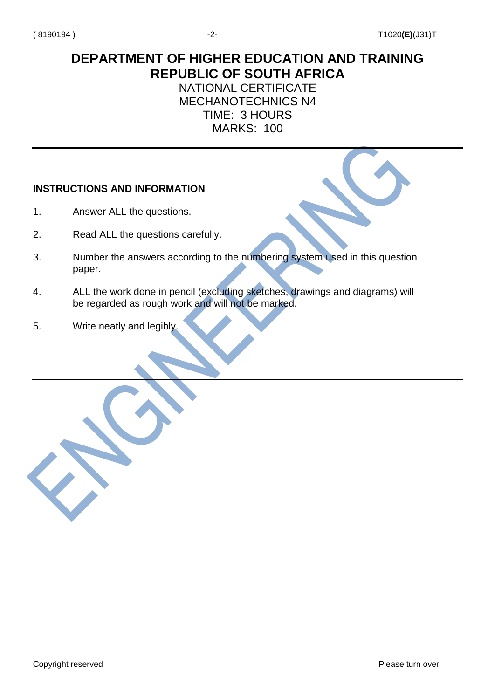## **DEPARTMENT OF HIGHER EDUCATION AND TRAINING REPUBLIC OF SOUTH AFRICA**

### NATIONAL CERTIFICATE MECHANOTECHNICS N4 TIME: 3 HOURS MARKS: 100

## **INSTRUCTIONS AND INFORMATION**

- 1. Answer ALL the questions.
- 2. Read ALL the questions carefully.
- 3. Number the answers according to the numbering system used in this question paper.
- 4. ALL the work done in pencil (excluding sketches, drawings and diagrams) will be regarded as rough work and will not be marked.
- 5. Write neatly and legibly.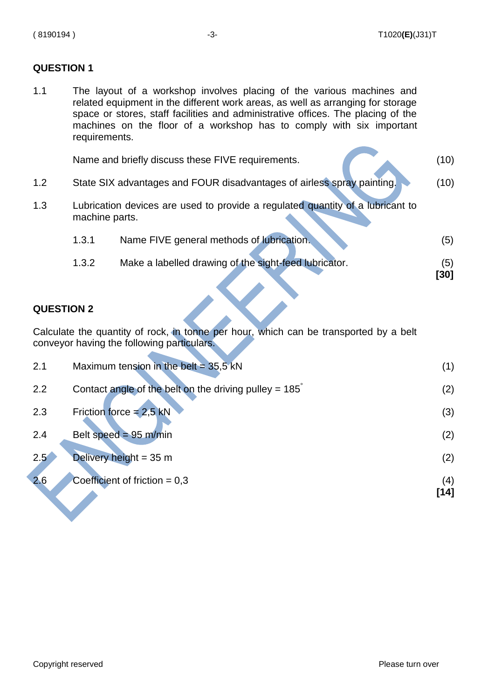1.1 The layout of a workshop involves placing of the various machines and related equipment in the different work areas, as well as arranging for storage space or stores, staff facilities and administrative offices. The placing of the machines on the floor of a workshop has to comply with six important requirements.

|     |                                                                                                  | Name and briefly discuss these FIVE requirements.                      | (10)        |
|-----|--------------------------------------------------------------------------------------------------|------------------------------------------------------------------------|-------------|
| 1.2 |                                                                                                  | State SIX advantages and FOUR disadvantages of airless spray painting. | (10)        |
| 1.3 | Lubrication devices are used to provide a regulated quantity of a lubricant to<br>machine parts. |                                                                        |             |
|     | 1.3.1                                                                                            | Name FIVE general methods of lubrication.                              | (5)         |
|     | 1.3.2                                                                                            | Make a labelled drawing of the sight-feed lubricator.                  | (5)<br>[30] |

#### **QUESTION 2**

Calculate the quantity of rock, in tonne per hour, which can be transported by a belt conveyor having the following particulars.

| 2.1 | Maximum tension in the belt = $35.5$ kN                       |             |
|-----|---------------------------------------------------------------|-------------|
| 2.2 | Contact angle of the belt on the driving pulley = $185^\circ$ | (2)         |
| 2.3 | Friction force = $2.5$ kN                                     | (3)         |
| 2.4 | Belt speed = $95$ m/min                                       | (2)         |
| 2.5 | Delivery height = $35 \text{ m}$                              | (2)         |
| 2.6 | Coefficient of friction $= 0.3$                               | (4)<br>[14] |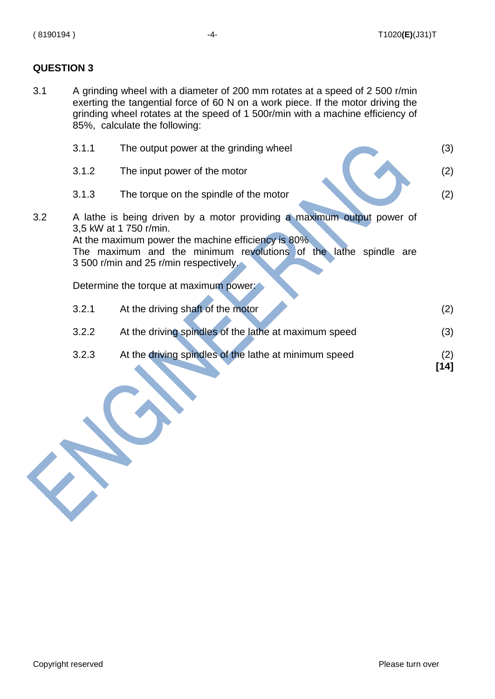3.1 A grinding wheel with a diameter of 200 mm rotates at a speed of 2 500 r/min exerting the tangential force of 60 N on a work piece. If the motor driving the grinding wheel rotates at the speed of 1 500r/min with a machine efficiency of 85%, calculate the following:

|     | 3.1.1 | The output power at the grinding wheel                                                                                                                                                                                                                                                                          | (3)         |
|-----|-------|-----------------------------------------------------------------------------------------------------------------------------------------------------------------------------------------------------------------------------------------------------------------------------------------------------------------|-------------|
|     | 3.1.2 | The input power of the motor                                                                                                                                                                                                                                                                                    | (2)         |
|     | 3.1.3 | The torque on the spindle of the motor                                                                                                                                                                                                                                                                          | (2)         |
| 3.2 |       | A lathe is being driven by a motor providing a maximum output power of<br>3,5 kW at 1 750 r/min.<br>At the maximum power the machine efficiency is 80%.<br>The maximum and the minimum revolutions of the lathe spindle are<br>3 500 r/min and 25 r/min respectively.<br>Determine the torque at maximum power: |             |
|     | 3.2.1 | At the driving shaft of the motor                                                                                                                                                                                                                                                                               | (2)         |
|     | 3.2.2 | At the driving spindles of the lathe at maximum speed                                                                                                                                                                                                                                                           | (3)         |
|     | 3.2.3 | At the driving spindles of the lathe at minimum speed                                                                                                                                                                                                                                                           | (2)<br>[14] |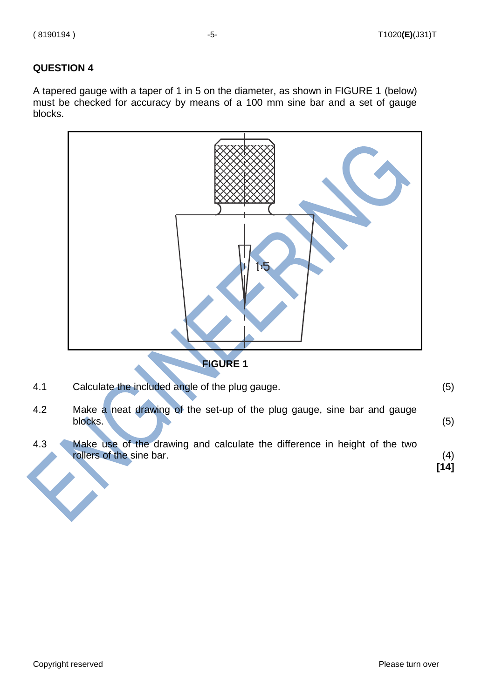A tapered gauge with a taper of 1 in 5 on the diameter, as shown in FIGURE 1 (below) must be checked for accuracy by means of a 100 mm sine bar and a set of gauge blocks.



4.1 Calculate the included angle of the plug gauge. (5)

- 4.2 Make a neat drawing of the set-up of the plug gauge, sine bar and gauge blocks. (5)
- 4.3 Make use of the drawing and calculate the difference in height of the two rollers of the sine bar.(4)

**[14]**